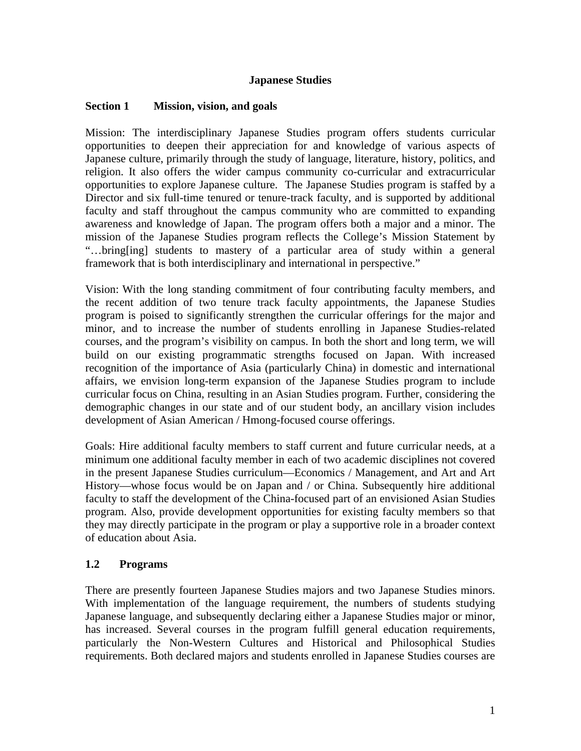### **Japanese Studies**

#### **Section 1 Mission, vision, and goals**

Mission: The interdisciplinary Japanese Studies program offers students curricular opportunities to deepen their appreciation for and knowledge of various aspects of Japanese culture, primarily through the study of language, literature, history, politics, and religion. It also offers the wider campus community co-curricular and extracurricular opportunities to explore Japanese culture. The Japanese Studies program is staffed by a Director and six full-time tenured or tenure-track faculty, and is supported by additional faculty and staff throughout the campus community who are committed to expanding awareness and knowledge of Japan. The program offers both a major and a minor. The mission of the Japanese Studies program reflects the College's Mission Statement by "…bring[ing] students to mastery of a particular area of study within a general framework that is both interdisciplinary and international in perspective."

Vision: With the long standing commitment of four contributing faculty members, and the recent addition of two tenure track faculty appointments, the Japanese Studies program is poised to significantly strengthen the curricular offerings for the major and minor, and to increase the number of students enrolling in Japanese Studies-related courses, and the program's visibility on campus. In both the short and long term, we will build on our existing programmatic strengths focused on Japan. With increased recognition of the importance of Asia (particularly China) in domestic and international affairs, we envision long-term expansion of the Japanese Studies program to include curricular focus on China, resulting in an Asian Studies program. Further, considering the demographic changes in our state and of our student body, an ancillary vision includes development of Asian American / Hmong-focused course offerings.

Goals: Hire additional faculty members to staff current and future curricular needs, at a minimum one additional faculty member in each of two academic disciplines not covered in the present Japanese Studies curriculum—Economics / Management, and Art and Art History—whose focus would be on Japan and / or China. Subsequently hire additional faculty to staff the development of the China-focused part of an envisioned Asian Studies program. Also, provide development opportunities for existing faculty members so that they may directly participate in the program or play a supportive role in a broader context of education about Asia.

### **1.2 Programs**

There are presently fourteen Japanese Studies majors and two Japanese Studies minors. With implementation of the language requirement, the numbers of students studying Japanese language, and subsequently declaring either a Japanese Studies major or minor, has increased. Several courses in the program fulfill general education requirements, particularly the Non-Western Cultures and Historical and Philosophical Studies requirements. Both declared majors and students enrolled in Japanese Studies courses are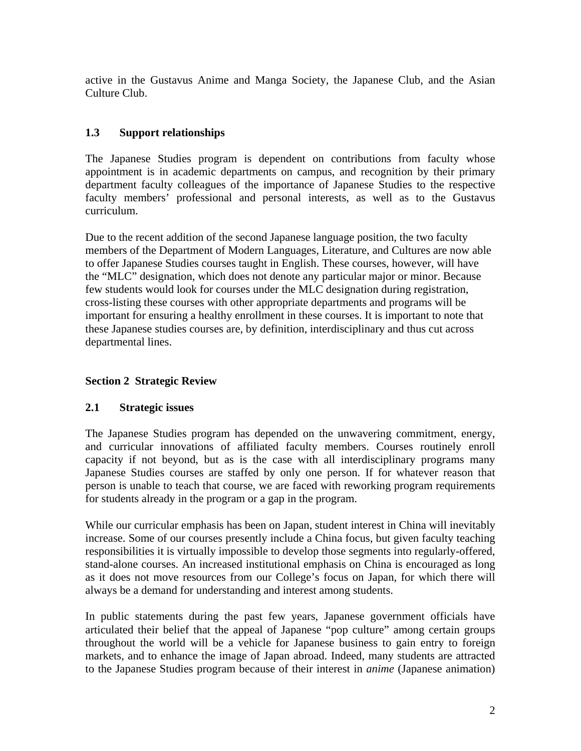active in the Gustavus Anime and Manga Society, the Japanese Club, and the Asian Culture Club.

# **1.3 Support relationships**

The Japanese Studies program is dependent on contributions from faculty whose appointment is in academic departments on campus, and recognition by their primary department faculty colleagues of the importance of Japanese Studies to the respective faculty members' professional and personal interests, as well as to the Gustavus curriculum.

Due to the recent addition of the second Japanese language position, the two faculty members of the Department of Modern Languages, Literature, and Cultures are now able to offer Japanese Studies courses taught in English. These courses, however, will have the "MLC" designation, which does not denote any particular major or minor. Because few students would look for courses under the MLC designation during registration, cross-listing these courses with other appropriate departments and programs will be important for ensuring a healthy enrollment in these courses. It is important to note that these Japanese studies courses are, by definition, interdisciplinary and thus cut across departmental lines.

# **Section 2 Strategic Review**

## **2.1 Strategic issues**

The Japanese Studies program has depended on the unwavering commitment, energy, and curricular innovations of affiliated faculty members. Courses routinely enroll capacity if not beyond, but as is the case with all interdisciplinary programs many Japanese Studies courses are staffed by only one person. If for whatever reason that person is unable to teach that course, we are faced with reworking program requirements for students already in the program or a gap in the program.

While our curricular emphasis has been on Japan, student interest in China will inevitably increase. Some of our courses presently include a China focus, but given faculty teaching responsibilities it is virtually impossible to develop those segments into regularly-offered, stand-alone courses. An increased institutional emphasis on China is encouraged as long as it does not move resources from our College's focus on Japan, for which there will always be a demand for understanding and interest among students.

In public statements during the past few years, Japanese government officials have articulated their belief that the appeal of Japanese "pop culture" among certain groups throughout the world will be a vehicle for Japanese business to gain entry to foreign markets, and to enhance the image of Japan abroad. Indeed, many students are attracted to the Japanese Studies program because of their interest in *anime* (Japanese animation)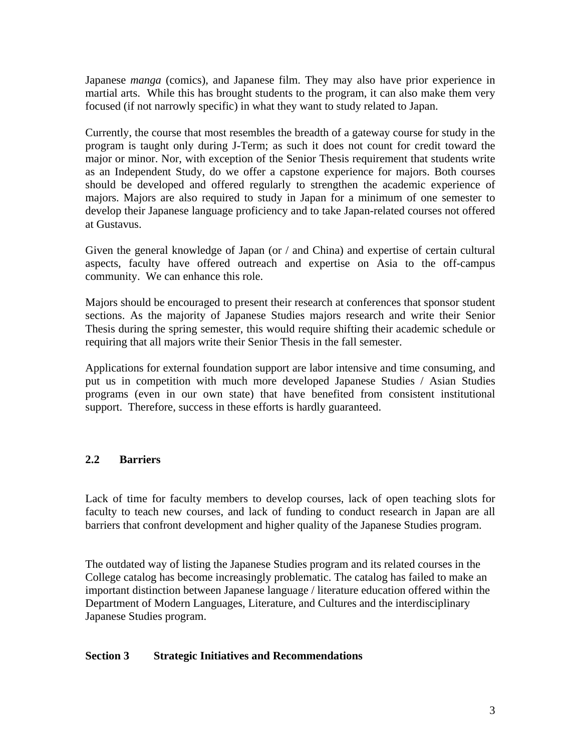Japanese *manga* (comics), and Japanese film. They may also have prior experience in martial arts. While this has brought students to the program, it can also make them very focused (if not narrowly specific) in what they want to study related to Japan.

Currently, the course that most resembles the breadth of a gateway course for study in the program is taught only during J-Term; as such it does not count for credit toward the major or minor. Nor, with exception of the Senior Thesis requirement that students write as an Independent Study, do we offer a capstone experience for majors. Both courses should be developed and offered regularly to strengthen the academic experience of majors. Majors are also required to study in Japan for a minimum of one semester to develop their Japanese language proficiency and to take Japan-related courses not offered at Gustavus.

Given the general knowledge of Japan (or / and China) and expertise of certain cultural aspects, faculty have offered outreach and expertise on Asia to the off-campus community. We can enhance this role.

Majors should be encouraged to present their research at conferences that sponsor student sections. As the majority of Japanese Studies majors research and write their Senior Thesis during the spring semester, this would require shifting their academic schedule or requiring that all majors write their Senior Thesis in the fall semester.

Applications for external foundation support are labor intensive and time consuming, and put us in competition with much more developed Japanese Studies / Asian Studies programs (even in our own state) that have benefited from consistent institutional support. Therefore, success in these efforts is hardly guaranteed.

## **2.2 Barriers**

Lack of time for faculty members to develop courses, lack of open teaching slots for faculty to teach new courses, and lack of funding to conduct research in Japan are all barriers that confront development and higher quality of the Japanese Studies program.

The outdated way of listing the Japanese Studies program and its related courses in the College catalog has become increasingly problematic. The catalog has failed to make an important distinction between Japanese language / literature education offered within the Department of Modern Languages, Literature, and Cultures and the interdisciplinary Japanese Studies program.

### **Section 3 Strategic Initiatives and Recommendations**